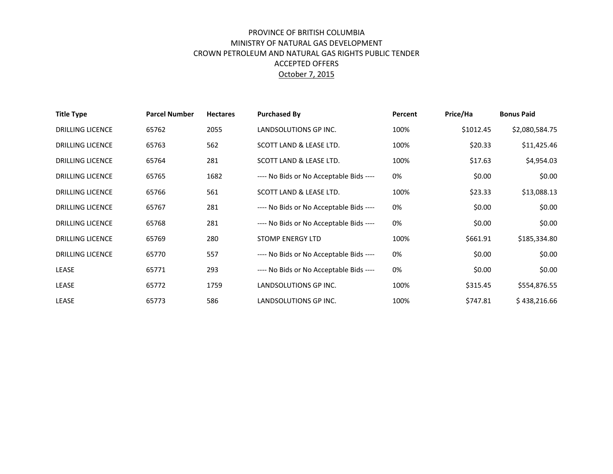## PROVINCE OF BRITISH COLUMBIA MINISTRY OF NATURAL GAS DEVELOPMENT CROWN PETROLEUM AND NATURAL GAS RIGHTS PUBLIC TENDER ACCEPTED OFFERS October 7, 2015

| <b>Title Type</b>       | <b>Parcel Number</b> | <b>Hectares</b> | <b>Purchased By</b>                     | Percent | Price/Ha  | <b>Bonus Paid</b> |
|-------------------------|----------------------|-----------------|-----------------------------------------|---------|-----------|-------------------|
| <b>DRILLING LICENCE</b> | 65762                | 2055            | LANDSOLUTIONS GP INC.                   | 100%    | \$1012.45 | \$2,080,584.75    |
| <b>DRILLING LICENCE</b> | 65763                | 562             | SCOTT LAND & LEASE LTD.                 | 100%    | \$20.33   | \$11,425.46       |
| <b>DRILLING LICENCE</b> | 65764                | 281             | SCOTT LAND & LEASE LTD.                 | 100%    | \$17.63   | \$4,954.03        |
| <b>DRILLING LICENCE</b> | 65765                | 1682            | ---- No Bids or No Acceptable Bids ---- | 0%      | \$0.00    | \$0.00            |
| <b>DRILLING LICENCE</b> | 65766                | 561             | SCOTT LAND & LEASE LTD.                 | 100%    | \$23.33   | \$13,088.13       |
| <b>DRILLING LICENCE</b> | 65767                | 281             | ---- No Bids or No Acceptable Bids ---- | 0%      | \$0.00    | \$0.00            |
| <b>DRILLING LICENCE</b> | 65768                | 281             | ---- No Bids or No Acceptable Bids ---- | 0%      | \$0.00    | \$0.00            |
| <b>DRILLING LICENCE</b> | 65769                | 280             | STOMP ENERGY LTD                        | 100%    | \$661.91  | \$185,334.80      |
| <b>DRILLING LICENCE</b> | 65770                | 557             | ---- No Bids or No Acceptable Bids ---- | 0%      | \$0.00    | \$0.00            |
| LEASE                   | 65771                | 293             | ---- No Bids or No Acceptable Bids ---- | 0%      | \$0.00    | \$0.00            |
| LEASE                   | 65772                | 1759            | LANDSOLUTIONS GP INC.                   | 100%    | \$315.45  | \$554,876.55      |
| LEASE                   | 65773                | 586             | LANDSOLUTIONS GP INC.                   | 100%    | \$747.81  | \$438,216.66      |